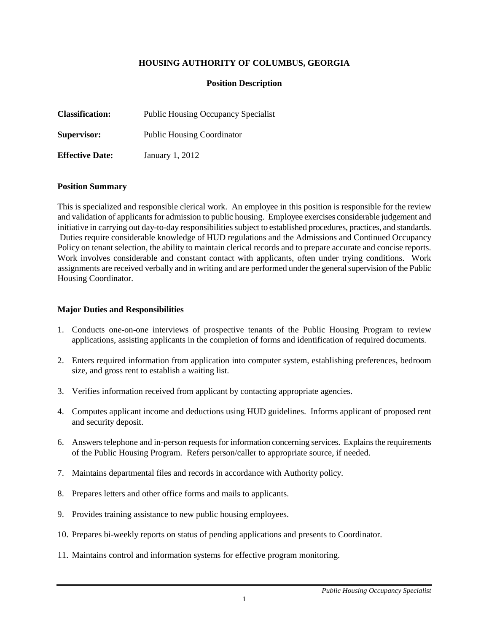## **HOUSING AUTHORITY OF COLUMBUS, GEORGIA**

### **Position Description**

| <b>Classification:</b> | <b>Public Housing Occupancy Specialist</b> |
|------------------------|--------------------------------------------|
| Supervisor:            | <b>Public Housing Coordinator</b>          |
| <b>Effective Date:</b> | January 1, 2012                            |

#### **Position Summary**

This is specialized and responsible clerical work. An employee in this position is responsible for the review and validation of applicants for admission to public housing. Employee exercises considerable judgement and initiative in carrying out day-to-day responsibilities subject to established procedures, practices, and standards. Duties require considerable knowledge of HUD regulations and the Admissions and Continued Occupancy Policy on tenant selection, the ability to maintain clerical records and to prepare accurate and concise reports. Work involves considerable and constant contact with applicants, often under trying conditions. Work assignments are received verbally and in writing and are performed under the general supervision of the Public Housing Coordinator.

#### **Major Duties and Responsibilities**

- 1. Conducts one-on-one interviews of prospective tenants of the Public Housing Program to review applications, assisting applicants in the completion of forms and identification of required documents.
- 2. Enters required information from application into computer system, establishing preferences, bedroom size, and gross rent to establish a waiting list.
- 3. Verifies information received from applicant by contacting appropriate agencies.
- 4. Computes applicant income and deductions using HUD guidelines. Informs applicant of proposed rent and security deposit.
- 6. Answers telephone and in-person requests for information concerning services. Explains the requirements of the Public Housing Program. Refers person/caller to appropriate source, if needed.
- 7. Maintains departmental files and records in accordance with Authority policy.
- 8. Prepares letters and other office forms and mails to applicants.
- 9. Provides training assistance to new public housing employees.
- 10. Prepares bi-weekly reports on status of pending applications and presents to Coordinator.
- 11. Maintains control and information systems for effective program monitoring.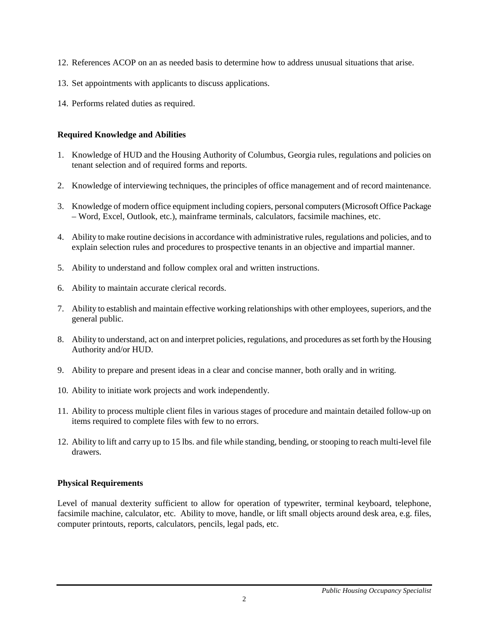- 12. References ACOP on an as needed basis to determine how to address unusual situations that arise.
- 13. Set appointments with applicants to discuss applications.
- 14. Performs related duties as required.

## **Required Knowledge and Abilities**

- 1. Knowledge of HUD and the Housing Authority of Columbus, Georgia rules, regulations and policies on tenant selection and of required forms and reports.
- 2. Knowledge of interviewing techniques, the principles of office management and of record maintenance.
- 3. Knowledge of modern office equipment including copiers, personal computers(Microsoft Office Package – Word, Excel, Outlook, etc.), mainframe terminals, calculators, facsimile machines, etc.
- 4. Ability to make routine decisions in accordance with administrative rules, regulations and policies, and to explain selection rules and procedures to prospective tenants in an objective and impartial manner.
- 5. Ability to understand and follow complex oral and written instructions.
- 6. Ability to maintain accurate clerical records.
- 7. Ability to establish and maintain effective working relationships with other employees, superiors, and the general public.
- 8. Ability to understand, act on and interpret policies, regulations, and procedures as set forth by the Housing Authority and/or HUD.
- 9. Ability to prepare and present ideas in a clear and concise manner, both orally and in writing.
- 10. Ability to initiate work projects and work independently.
- 11. Ability to process multiple client files in various stages of procedure and maintain detailed follow-up on items required to complete files with few to no errors.
- 12. Ability to lift and carry up to 15 lbs. and file while standing, bending, or stooping to reach multi-level file drawers.

# **Physical Requirements**

Level of manual dexterity sufficient to allow for operation of typewriter, terminal keyboard, telephone, facsimile machine, calculator, etc. Ability to move, handle, or lift small objects around desk area, e.g. files, computer printouts, reports, calculators, pencils, legal pads, etc.